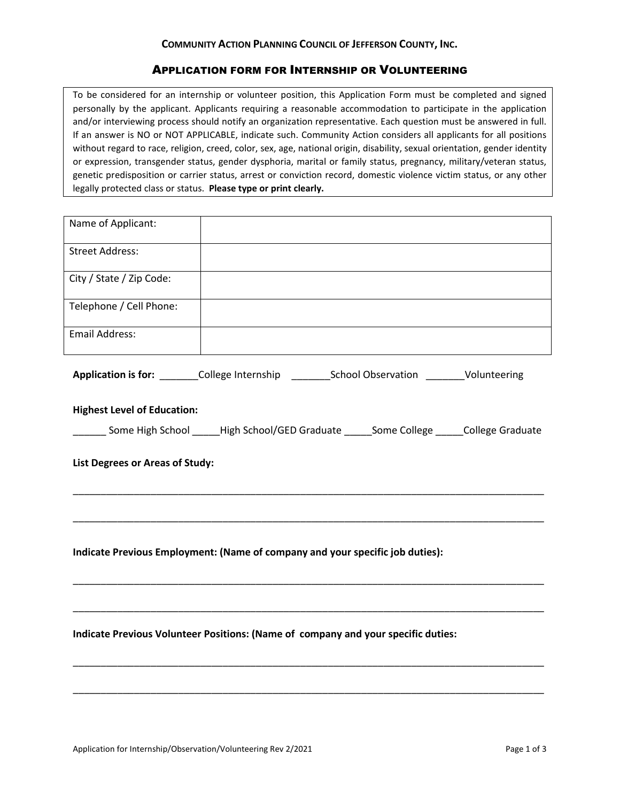## **COMMUNITY ACTION PLANNING COUNCIL OF JEFFERSON COUNTY, INC.**

## APPLICATION FORM FOR INTERNSHIP OR VOLUNTEERING

To be considered for an internship or volunteer position, this Application Form must be completed and signed personally by the applicant. Applicants requiring a reasonable accommodation to participate in the application and/or interviewing process should notify an organization representative. Each question must be answered in full. If an answer is NO or NOT APPLICABLE, indicate such. Community Action considers all applicants for all positions without regard to race, religion, creed, color, sex, age, national origin, disability, sexual orientation, gender identity or expression, transgender status, gender dysphoria, marital or family status, pregnancy, military/veteran status, genetic predisposition or carrier status, arrest or conviction record, domestic violence victim status, or any other legally protected class or status. **Please type or print clearly.**

| Name of Applicant:                                                                             |  |  |  |  |  |
|------------------------------------------------------------------------------------------------|--|--|--|--|--|
| <b>Street Address:</b>                                                                         |  |  |  |  |  |
| City / State / Zip Code:                                                                       |  |  |  |  |  |
| Telephone / Cell Phone:                                                                        |  |  |  |  |  |
| <b>Email Address:</b>                                                                          |  |  |  |  |  |
| Application is for: ________College Internship ________School Observation _______Volunteering  |  |  |  |  |  |
| <b>Highest Level of Education:</b>                                                             |  |  |  |  |  |
| _______ Some High School _____High School/GED Graduate _____Some College _____College Graduate |  |  |  |  |  |
| List Degrees or Areas of Study:                                                                |  |  |  |  |  |
|                                                                                                |  |  |  |  |  |
| Indicate Previous Employment: (Name of company and your specific job duties):                  |  |  |  |  |  |
| Indicate Previous Volunteer Positions: (Name of company and your specific duties:              |  |  |  |  |  |
|                                                                                                |  |  |  |  |  |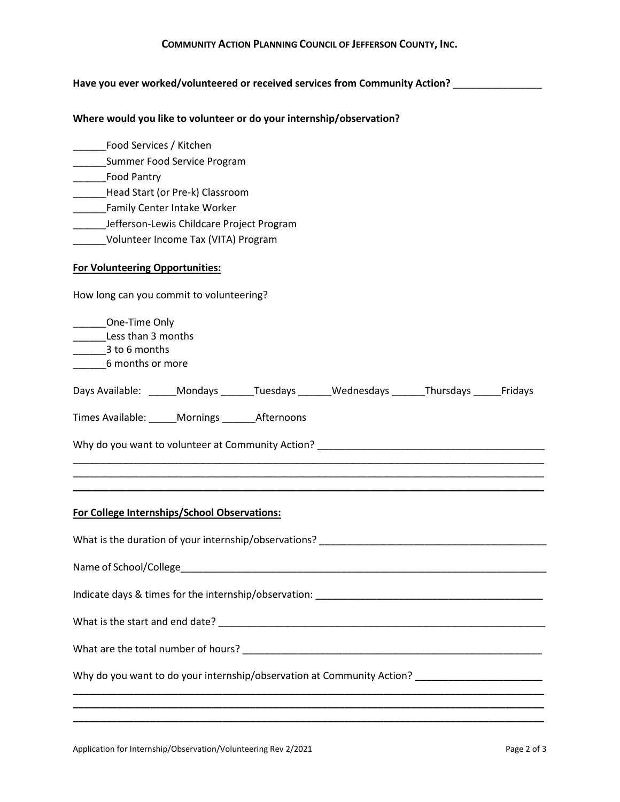## **COMMUNITY ACTION PLANNING COUNCIL OF JEFFERSON COUNTY, INC.**

### **Have you ever worked/volunteered or received services from Community Action?** \_\_\_\_\_\_\_\_\_\_\_\_\_\_\_\_

#### **Where would you like to volunteer or do your internship/observation?**

- \_\_\_\_\_\_Food Services / Kitchen
- \_\_\_\_\_\_Summer Food Service Program
- \_\_\_\_\_\_Food Pantry
- Lackendary Head Start (or Pre-k) Classroom
- \_\_\_\_\_\_\_Family Center Intake Worker
- \_\_\_\_\_\_Jefferson-Lewis Childcare Project Program
- \_\_\_\_\_\_Volunteer Income Tax (VITA) Program

### **For Volunteering Opportunities:**

How long can you commit to volunteering?

| _______One-Time Only<br>________Less than 3 months<br>$\frac{1}{2}$ to 6 months<br>6 months or more |  |  |                                                                                            |  |  |
|-----------------------------------------------------------------------------------------------------|--|--|--------------------------------------------------------------------------------------------|--|--|
|                                                                                                     |  |  | Days Available: ______Mondays ______Tuesdays ______Wednesdays ______Thursdays _____Fridays |  |  |
| Times Available: _____Mornings _______Afternoons                                                    |  |  |                                                                                            |  |  |
|                                                                                                     |  |  |                                                                                            |  |  |
|                                                                                                     |  |  | <u> 1989 - Johann Stoff, amerikansk politiker (d. 1989)</u>                                |  |  |
| For College Internships/School Observations:                                                        |  |  |                                                                                            |  |  |
| What is the duration of your internship/observations? ___________________________                   |  |  |                                                                                            |  |  |
|                                                                                                     |  |  |                                                                                            |  |  |
|                                                                                                     |  |  |                                                                                            |  |  |
|                                                                                                     |  |  |                                                                                            |  |  |
|                                                                                                     |  |  |                                                                                            |  |  |
| Why do you want to do your internship/observation at Community Action? ______________________       |  |  |                                                                                            |  |  |
|                                                                                                     |  |  |                                                                                            |  |  |

**\_\_\_\_\_\_\_\_\_\_\_\_\_\_\_\_\_\_\_\_\_\_\_\_\_\_\_\_\_\_\_\_\_\_\_\_\_\_\_\_\_\_\_\_\_\_\_\_\_\_\_\_\_\_\_\_\_\_\_\_\_\_\_\_\_\_\_\_\_\_\_\_\_\_\_\_\_\_\_\_\_\_\_\_\_**